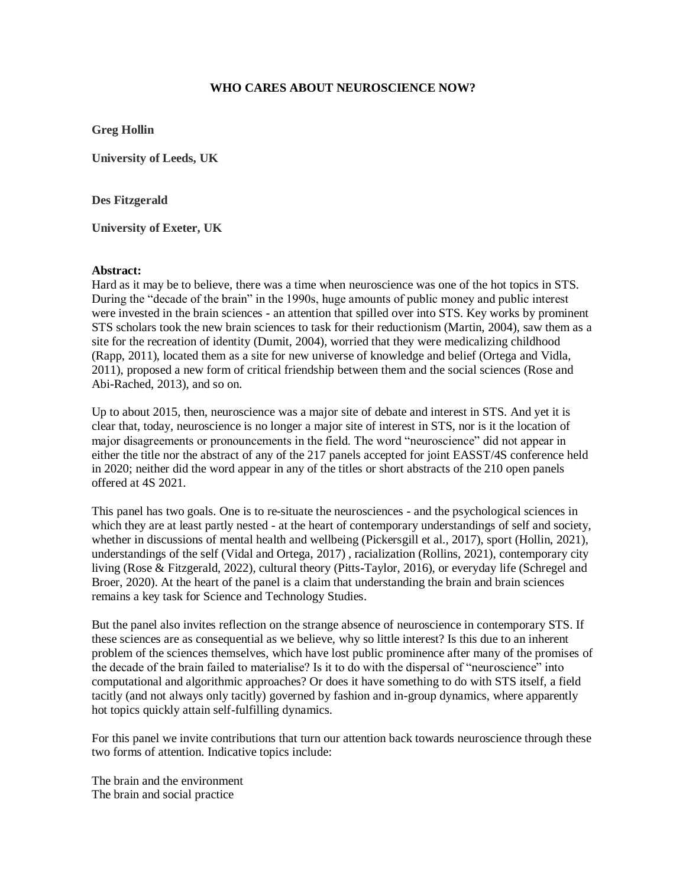## **WHO CARES ABOUT NEUROSCIENCE NOW?**

**Greg Hollin**

**University of Leeds, UK**

**Des Fitzgerald**

**University of Exeter, UK**

## **Abstract:**

Hard as it may be to believe, there was a time when neuroscience was one of the hot topics in STS. During the "decade of the brain" in the 1990s, huge amounts of public money and public interest were invested in the brain sciences - an attention that spilled over into STS. Key works by prominent STS scholars took the new brain sciences to task for their reductionism (Martin, 2004), saw them as a site for the recreation of identity (Dumit, 2004), worried that they were medicalizing childhood (Rapp, 2011), located them as a site for new universe of knowledge and belief (Ortega and Vidla, 2011), proposed a new form of critical friendship between them and the social sciences (Rose and Abi-Rached, 2013), and so on.

Up to about 2015, then, neuroscience was a major site of debate and interest in STS. And yet it is clear that, today, neuroscience is no longer a major site of interest in STS, nor is it the location of major disagreements or pronouncements in the field. The word "neuroscience" did not appear in either the title nor the abstract of any of the 217 panels accepted for joint EASST/4S conference held in 2020; neither did the word appear in any of the titles or short abstracts of the 210 open panels offered at 4S 2021.

This panel has two goals. One is to re-situate the neurosciences - and the psychological sciences in which they are at least partly nested - at the heart of contemporary understandings of self and society, whether in discussions of mental health and wellbeing (Pickersgill et al., 2017), sport (Hollin, 2021), understandings of the self (Vidal and Ortega, 2017) , racialization (Rollins, 2021), contemporary city living (Rose & Fitzgerald, 2022), cultural theory (Pitts-Taylor, 2016), or everyday life (Schregel and Broer, 2020). At the heart of the panel is a claim that understanding the brain and brain sciences remains a key task for Science and Technology Studies.

But the panel also invites reflection on the strange absence of neuroscience in contemporary STS. If these sciences are as consequential as we believe, why so little interest? Is this due to an inherent problem of the sciences themselves, which have lost public prominence after many of the promises of the decade of the brain failed to materialise? Is it to do with the dispersal of "neuroscience" into computational and algorithmic approaches? Or does it have something to do with STS itself, a field tacitly (and not always only tacitly) governed by fashion and in-group dynamics, where apparently hot topics quickly attain self-fulfilling dynamics.

For this panel we invite contributions that turn our attention back towards neuroscience through these two forms of attention. Indicative topics include:

The brain and the environment The brain and social practice